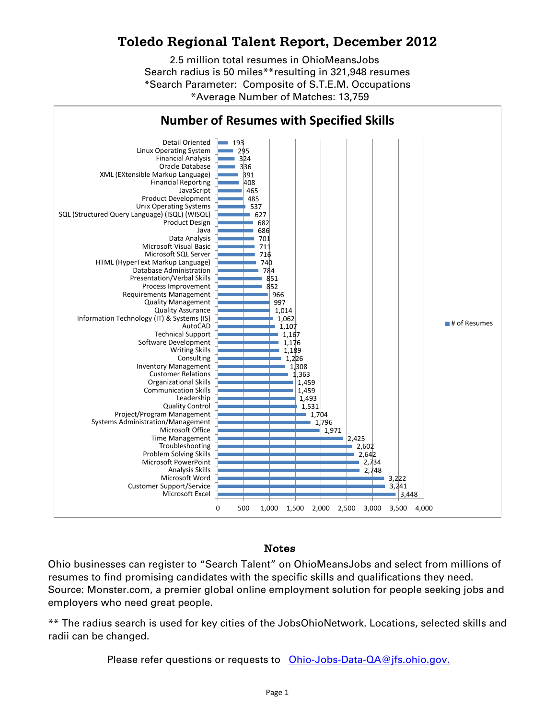## **Toledo Regional Talent Report, December 2012**

2.5 million total resumes in OhioMeansJobs Search radius is 50 miles\*\*resulting in 321,948 resumes \*Average Number of Matches: 13,759 \*Search Parameter: Composite of S.T.E.M. Occupations



## Notes

Ohio businesses can register to "Search Talent" on OhioMeansJobs and select from millions of resumes to find promising candidates with the specific skills and qualifications they need. Source: Monster.com, a premier global online employment solution for people seeking jobs and employers who need great people.

\*\* The radius search is used for key cities of the JobsOhioNetwork. Locations, selected skills and radii can be changed.

Please refer questions or requests to [Ohio-Jobs-Data-QA@jfs.ohio.gov.](mailto:Ohio-Jobs-Data-QA@jfs.ohio.gov.)